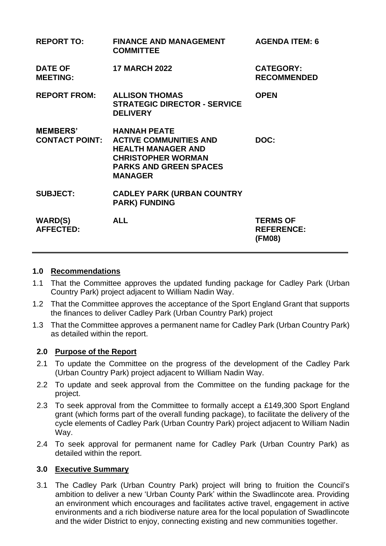| <b>REPORT TO:</b>                        | <b>FINANCE AND MANAGEMENT</b><br><b>COMMITTEE</b>                                                                                                                 | <b>AGENDA ITEM: 6</b>                          |
|------------------------------------------|-------------------------------------------------------------------------------------------------------------------------------------------------------------------|------------------------------------------------|
| <b>DATE OF</b><br><b>MEETING:</b>        | <b>17 MARCH 2022</b>                                                                                                                                              | <b>CATEGORY:</b><br><b>RECOMMENDED</b>         |
| <b>REPORT FROM:</b>                      | <b>ALLISON THOMAS</b><br><b>STRATEGIC DIRECTOR - SERVICE</b><br><b>DELIVERY</b>                                                                                   | <b>OPEN</b>                                    |
| <b>MEMBERS'</b><br><b>CONTACT POINT:</b> | <b>HANNAH PEATE</b><br><b>ACTIVE COMMUNITIES AND</b><br><b>HEALTH MANAGER AND</b><br><b>CHRISTOPHER WORMAN</b><br><b>PARKS AND GREEN SPACES</b><br><b>MANAGER</b> | DOC:                                           |
| <b>SUBJECT:</b>                          | <b>CADLEY PARK (URBAN COUNTRY</b><br><b>PARK) FUNDING</b>                                                                                                         |                                                |
| <b>WARD(S)</b><br><b>AFFECTED:</b>       | <b>ALL</b>                                                                                                                                                        | <b>TERMS OF</b><br><b>REFERENCE:</b><br>(FM08) |

#### **1.0 Recommendations**

- 1.1 That the Committee approves the updated funding package for Cadley Park (Urban Country Park) project adjacent to William Nadin Way.
- 1.2 That the Committee approves the acceptance of the Sport England Grant that supports the finances to deliver Cadley Park (Urban Country Park) project
- 1.3 That the Committee approves a permanent name for Cadley Park (Urban Country Park) as detailed within the report.

### **2.0 Purpose of the Report**

- 2.1 To update the Committee on the progress of the development of the Cadley Park (Urban Country Park) project adjacent to William Nadin Way.
- 2.2 To update and seek approval from the Committee on the funding package for the project.
- 2.3 To seek approval from the Committee to formally accept a £149,300 Sport England grant (which forms part of the overall funding package), to facilitate the delivery of the cycle elements of Cadley Park (Urban Country Park) project adjacent to William Nadin Way.
- 2.4 To seek approval for permanent name for Cadley Park (Urban Country Park) as detailed within the report.

## **3.0 Executive Summary**

3.1 The Cadley Park (Urban Country Park) project will bring to fruition the Council's ambition to deliver a new 'Urban County Park' within the Swadlincote area. Providing an environment which encourages and facilitates active travel, engagement in active environments and a rich biodiverse nature area for the local population of Swadlincote and the wider District to enjoy, connecting existing and new communities together.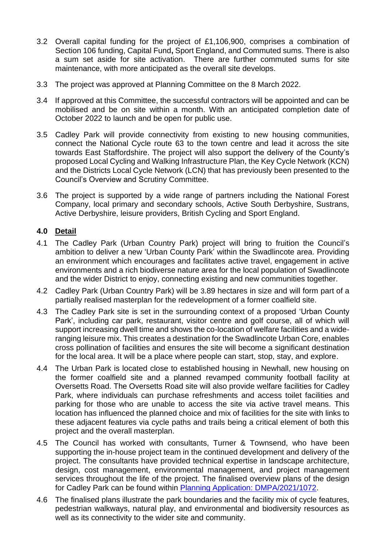- 3.2 Overall capital funding for the project of £1,106,900, comprises a combination of Section 106 funding, Capital Fund**,** Sport England, and Commuted sums. There is also a sum set aside for site activation. There are further commuted sums for site maintenance, with more anticipated as the overall site develops.
- 3.3 The project was approved at Planning Committee on the 8 March 2022.
- 3.4 If approved at this Committee, the successful contractors will be appointed and can be mobilised and be on site within a month. With an anticipated completion date of October 2022 to launch and be open for public use.
- 3.5 Cadley Park will provide connectivity from existing to new housing communities, connect the National Cycle route 63 to the town centre and lead it across the site towards East Staffordshire. The project will also support the delivery of the County's proposed Local Cycling and Walking Infrastructure Plan, the Key Cycle Network (KCN) and the Districts Local Cycle Network (LCN) that has previously been presented to the Council's Overview and Scrutiny Committee.
- 3.6 The project is supported by a wide range of partners including the National Forest Company, local primary and secondary schools, Active South Derbyshire, Sustrans, Active Derbyshire, leisure providers, British Cycling and Sport England.

# **4.0 Detail**

- 4.1 The Cadley Park (Urban Country Park) project will bring to fruition the Council's ambition to deliver a new 'Urban County Park' within the Swadlincote area. Providing an environment which encourages and facilitates active travel, engagement in active environments and a rich biodiverse nature area for the local population of Swadlincote and the wider District to enjoy, connecting existing and new communities together.
- 4.2 Cadley Park (Urban Country Park) will be 3.89 hectares in size and will form part of a partially realised masterplan for the redevelopment of a former coalfield site.
- 4.3 The Cadley Park site is set in the surrounding context of a proposed 'Urban County Park', including car park, restaurant, visitor centre and golf course, all of which will support increasing dwell time and shows the co-location of welfare facilities and a wideranging leisure mix. This creates a destination for the Swadlincote Urban Core, enables cross pollination of facilities and ensures the site will become a significant destination for the local area. It will be a place where people can start, stop, stay, and explore.
- 4.4 The Urban Park is located close to established housing in Newhall, new housing on the former coalfield site and a planned revamped community football facility at Oversetts Road. The Oversetts Road site will also provide welfare facilities for Cadley Park, where individuals can purchase refreshments and access toilet facilities and parking for those who are unable to access the site via active travel means. This location has influenced the planned choice and mix of facilities for the site with links to these adjacent features via cycle paths and trails being a critical element of both this project and the overall masterplan.
- 4.5 The Council has worked with consultants, Turner & Townsend, who have been supporting the in-house project team in the continued development and delivery of the project. The consultants have provided technical expertise in landscape architecture, design, cost management, environmental management, and project management services throughout the life of the project. The finalised overview plans of the design for Cadley Park can be found within [Planning Application: DMPA/2021/1072.](https://southderbyshirepr.force.com/s/planning-application/a0b4J000004yee9/dmpa20211072)
- 4.6 The finalised plans illustrate the park boundaries and the facility mix of cycle features, pedestrian walkways, natural play, and environmental and biodiversity resources as well as its connectivity to the wider site and community.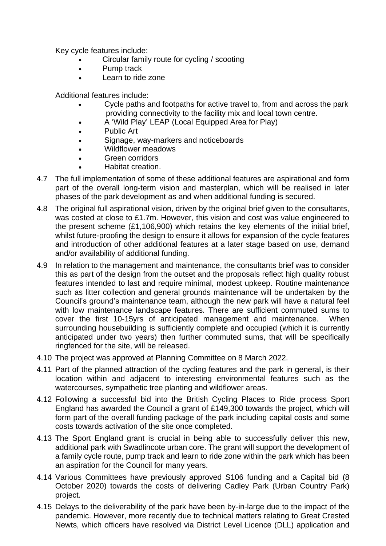Key cycle features include:

- Circular family route for cycling / scooting
- Pump track
- Learn to ride zone

Additional features include:

- Cycle paths and footpaths for active travel to, from and across the park providing connectivity to the facility mix and local town centre.
- A 'Wild Play' LEAP (Local Equipped Area for Play)
- Public Art
- Signage, way-markers and noticeboards
- Wildflower meadows
- Green corridors
- Habitat creation.
- 4.7 The full implementation of some of these additional features are aspirational and form part of the overall long-term vision and masterplan, which will be realised in later phases of the park development as and when additional funding is secured.
- 4.8 The original full aspirational vision, driven by the original brief given to the consultants, was costed at close to £1.7m. However, this vision and cost was value engineered to the present scheme (£1,106,900) which retains the key elements of the initial brief, whilst future-proofing the design to ensure it allows for expansion of the cycle features and introduction of other additional features at a later stage based on use, demand and/or availability of additional funding.
- 4.9 In relation to the management and maintenance, the consultants brief was to consider this as part of the design from the outset and the proposals reflect high quality robust features intended to last and require minimal, modest upkeep. Routine maintenance such as litter collection and general grounds maintenance will be undertaken by the Council's ground's maintenance team, although the new park will have a natural feel with low maintenance landscape features. There are sufficient commuted sums to cover the first 10-15yrs of anticipated management and maintenance. When surrounding housebuilding is sufficiently complete and occupied (which it is currently anticipated under two years) then further commuted sums, that will be specifically ringfenced for the site, will be released.
- 4.10 The project was approved at Planning Committee on 8 March 2022.
- 4.11 Part of the planned attraction of the cycling features and the park in general, is their location within and adjacent to interesting environmental features such as the watercourses, sympathetic tree planting and wildflower areas.
- 4.12 Following a successful bid into the British Cycling Places to Ride process Sport England has awarded the Council a grant of £149,300 towards the project, which will form part of the overall funding package of the park including capital costs and some costs towards activation of the site once completed.
- 4.13 The Sport England grant is crucial in being able to successfully deliver this new, additional park with Swadlincote urban core. The grant will support the development of a family cycle route, pump track and learn to ride zone within the park which has been an aspiration for the Council for many years.
- 4.14 Various Committees have previously approved S106 funding and a Capital bid (8 October 2020) towards the costs of delivering Cadley Park (Urban Country Park) project.
- 4.15 Delays to the deliverability of the park have been by-in-large due to the impact of the pandemic. However, more recently due to technical matters relating to Great Crested Newts, which officers have resolved via District Level Licence (DLL) application and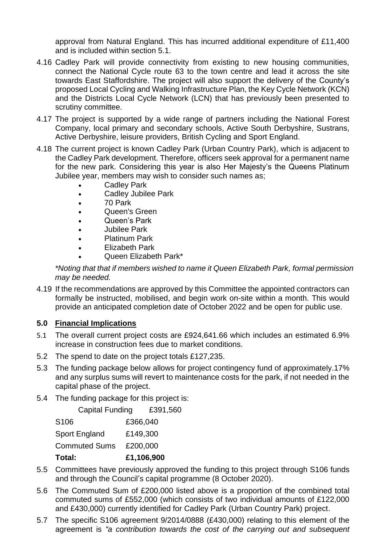approval from Natural England. This has incurred additional expenditure of £11,400 and is included within section 5.1.

- 4.16 Cadley Park will provide connectivity from existing to new housing communities, connect the National Cycle route 63 to the town centre and lead it across the site towards East Staffordshire. The project will also support the delivery of the County's proposed Local Cycling and Walking Infrastructure Plan, the Key Cycle Network (KCN) and the Districts Local Cycle Network (LCN) that has previously been presented to scrutiny committee.
- 4.17 The project is supported by a wide range of partners including the National Forest Company, local primary and secondary schools, Active South Derbyshire, Sustrans, Active Derbyshire, leisure providers, British Cycling and Sport England.
- 4.18 The current project is known Cadley Park (Urban Country Park), which is adjacent to the Cadley Park development. Therefore, officers seek approval for a permanent name for the new park. Considering this year is also Her Majesty's the Queens Platinum Jubilee year, members may wish to consider such names as;
	- Cadley Park
	- Cadley Jubilee Park
	- 70 Park
	- Queen's Green
	- Queen's Park
	- Jubilee Park
	- Platinum Park
	- Elizabeth Park
	- Queen Elizabeth Park\*

*\*Noting that that if members wished to name it Queen Elizabeth Park, formal permission may be needed.* 

4.19 If the recommendations are approved by this Committee the appointed contractors can formally be instructed, mobilised, and begin work on-site within a month. This would provide an anticipated completion date of October 2022 and be open for public use.

# **5.0 Financial Implications**

- 5.1 The overall current project costs are £924,641.66 which includes an estimated 6.9% increase in construction fees due to market conditions.
- 5.2 The spend to date on the project totals £127,235.
- 5.3 The funding package below allows for project contingency fund of approximately.17% and any surplus sums will revert to maintenance costs for the park, if not needed in the capital phase of the project.
- 5.4 The funding package for this project is:

Capital Funding £391,560 S106 £366,040 Sport England £149,300 Commuted Sums £200,000 **Total: £1,106,900**

- 5.5 Committees have previously approved the funding to this project through S106 funds and through the Council's capital programme (8 October 2020).
- 5.6 The Commuted Sum of £200,000 listed above is a proportion of the combined total commuted sums of £552,000 (which consists of two individual amounts of £122,000 and £430,000) currently identified for Cadley Park (Urban Country Park) project.
- 5.7 The specific S106 agreement 9/2014/0888 (£430,000) relating to this element of the agreement is *"a contribution towards the cost of the carrying out and subsequent*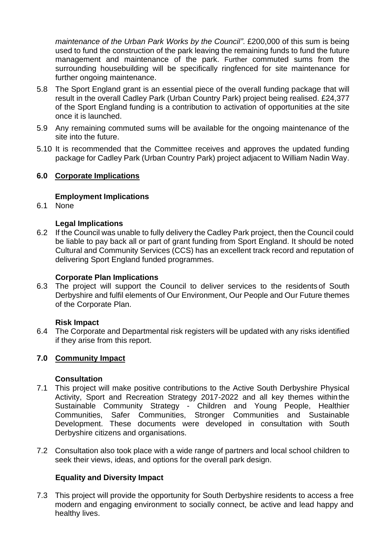*maintenance of the Urban Park Works by the Council"*. £200,000 of this sum is being used to fund the construction of the park leaving the remaining funds to fund the future management and maintenance of the park. Further commuted sums from the surrounding housebuilding will be specifically ringfenced for site maintenance for further ongoing maintenance.

- 5.8 The Sport England grant is an essential piece of the overall funding package that will result in the overall Cadley Park (Urban Country Park) project being realised. £24,377 of the Sport England funding is a contribution to activation of opportunities at the site once it is launched.
- 5.9 Any remaining commuted sums will be available for the ongoing maintenance of the site into the future.
- 5.10 It is recommended that the Committee receives and approves the updated funding package for Cadley Park (Urban Country Park) project adjacent to William Nadin Way.

# **6.0 Corporate Implications**

### **Employment Implications**

6.1 None

### **Legal Implications**

6.2 If the Council was unable to fully delivery the Cadley Park project, then the Council could be liable to pay back all or part of grant funding from Sport England. It should be noted Cultural and Community Services (CCS) has an excellent track record and reputation of delivering Sport England funded programmes.

#### **Corporate Plan Implications**

6.3 The project will support the Council to deliver services to the residents of South Derbyshire and fulfil elements of Our Environment, Our People and Our Future themes of the Corporate Plan.

### **Risk Impact**

6.4 The Corporate and Departmental risk registers will be updated with any risks identified if they arise from this report.

### **7.0 Community Impact**

#### **Consultation**

- 7.1 This project will make positive contributions to the Active South Derbyshire Physical Activity, Sport and Recreation Strategy 2017-2022 and all key themes within the Sustainable Community Strategy - Children and Young People, Healthier Communities, Safer Communities, Stronger Communities and Sustainable Development. These documents were developed in consultation with South Derbyshire citizens and organisations.
- 7.2 Consultation also took place with a wide range of partners and local school children to seek their views, ideas, and options for the overall park design.

### **Equality and Diversity Impact**

7.3 This project will provide the opportunity for South Derbyshire residents to access a free modern and engaging environment to socially connect, be active and lead happy and healthy lives.